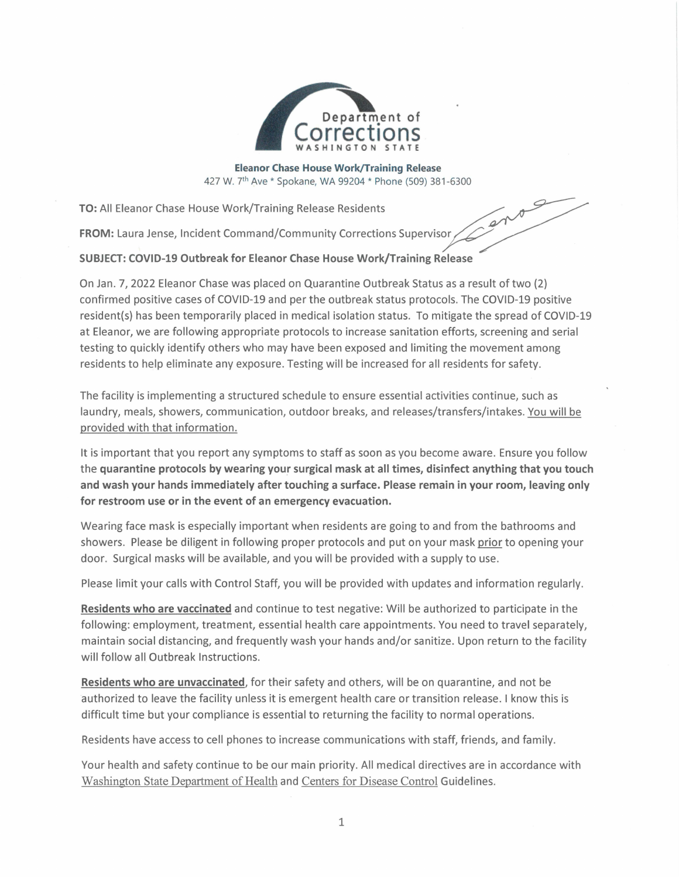

**Eleanor Chase House Work/Training Release**  427 W. 7th Ave \* Spokane, WA 99204 \* Phone (509) 381-6300

 $e^{i\theta}$ 

**TO:**  All Eleanor Chase House Work/Training Release Residents

**FROM:** Laura Jense, Incident Command/Community Corrections Supervisor

## **SUBJECT: COVID-19 Outbreak for Eleanor Chase House Work/Training. Release**

On Jan. 7, 2022 Eleanor Chase was placed on Quarantine Outbreak Status as a result of two (2) confirmed positive cases of COVID-19 and per the outbreak status protocols. The COVID-19 positive resident(s) has been temporarily placed in medical isolation status. To mitigate the spread of COVID-19 at Eleanor, we are following appropriate protocols to increase sanitation efforts, screening and serial testing to quickly identify others who may have been exposed and limiting the movement among residents to help eliminate any exposure. Testing will be increased for all residents for safety.

The facility is implementing a structured schedule to ensure essential activities continue, such as laundry, meals, showers, communication, outdoor breaks, and releases/transfers/intakes. You will be provided with that information.

It is important that you report any symptoms to staff as soon as you become aware. Ensure you follow the quarantine protocols by wearing your surgical mask at all times, disinfect anything that you touch **and wash your hands immediately after touching a surface. Please remain in your room, leaving only for restroom use or in the event of an emergency evacuation.** 

Wearing face mask is especially important when residents are going to and from the bathrooms and showers. Please be diligent in following proper protocols and put on your mask prior to opening your door. Surgical masks will be available, and you will be provided with a supply to use.

Please limit your calls with Control Staff, you will be provided with updates and information regularly.

**Residents who are vaccinated** and continue to test negative: Will be authorized to participate in the following: employment, treatment, essential health care appointments. You need to travel separately, maintain social distancing, and frequently wash your hands and/or sanitize. Upon return to the facility will follow all Outbreak Instructions.

**Residents who are unvaccinated,** for their safety and others, will be on quarantine, and not be authorized to leave the facility unless it is emergent health care or transition release. I know this is difficult time but your compliance is essential to returning the facility to normal operations.

Residents have access to cell phones to increase communications with staff, friends, and family.

Your health and safety continue to be our main priority. All medical directives are in accordance with Washington State Department of Health and Centers for Disease Control Guidelines.